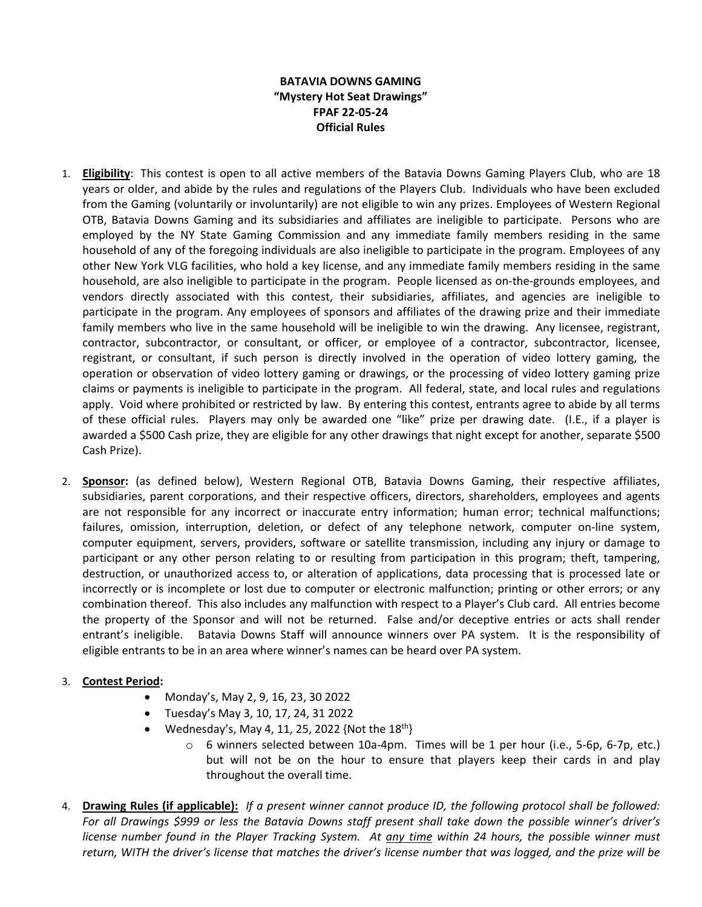## **BATAVIA DOWNS GAMING "Mystery Hot Seat Drawings" FPAF 22-05-24 Official Rules**

- 1. **Eligibility**: This contest is open to all active members of the Batavia Downs Gaming Players Club, who are 18 years or older, and abide by the rules and regulations of the Players Club. Individuals who have been excluded from the Gaming (voluntarily or involuntarily) are not eligible to win any prizes. Employees of Western Regional OTB, Batavia Downs Gaming and its subsidiaries and affiliates are ineligible to participate. Persons who are employed by the NY State Gaming Commission and any immediate family members residing in the same household of any of the foregoing individuals are also ineligible to participate in the program. Employees of any other New York VLG facilities, who hold a key license, and any immediate family members residing in the same household, are also ineligible to participate in the program. People licensed as on-the-grounds employees, and vendors directly associated with this contest, their subsidiaries, affiliates, and agencies are ineligible to participate in the program. Any employees of sponsors and affiliates of the drawing prize and their immediate family members who live in the same household will be ineligible to win the drawing. Any licensee, registrant, contractor, subcontractor, or consultant, or officer, or employee of a contractor, subcontractor, licensee, registrant, or consultant, if such person is directly involved in the operation of video lottery gaming, the operation or observation of video lottery gaming or drawings, or the processing of video lottery gaming prize claims or payments is ineligible to participate in the program. All federal, state, and local rules and regulations apply. Void where prohibited or restricted by law. By entering this contest, entrants agree to abide by all terms of these official rules. Players may only be awarded one "like" prize per drawing date. (I.E., if a player is awarded a \$500 Cash prize, they are eligible for any other drawings that night except for another, separate \$500 Cash Prize).
- 2. **Sponsor:** (as defined below), Western Regional OTB, Batavia Downs Gaming, their respective affiliates, subsidiaries, parent corporations, and their respective officers, directors, shareholders, employees and agents are not responsible for any incorrect or inaccurate entry information; human error; technical malfunctions; failures, omission, interruption, deletion, or defect of any telephone network, computer on-line system, computer equipment, servers, providers, software or satellite transmission, including any injury or damage to participant or any other person relating to or resulting from participation in this program; theft, tampering, destruction, or unauthorized access to, or alteration of applications, data processing that is processed late or incorrectly or is incomplete or lost due to computer or electronic malfunction; printing or other errors; or any combination thereof. This also includes any malfunction with respect to a Player's Club card. All entries become the property of the Sponsor and will not be returned. False and/or deceptive entries or acts shall render entrant's ineligible. Batavia Downs Staff will announce winners over PA system. It is the responsibility of eligible entrants to be in an area where winner's names can be heard over PA system.

## 3. **Contest Period:**

- Monday's, May 2, 9, 16, 23, 30 2022
- Tuesday's May 3, 10, 17, 24, 31 2022
- Wednesday's, May 4, 11, 25, 2022 {Not the  $18^{th}$ }
	- o 6 winners selected between 10a-4pm. Times will be 1 per hour (i.e., 5-6p, 6-7p, etc.) but will not be on the hour to ensure that players keep their cards in and play throughout the overall time.
- 4. **Drawing Rules (if applicable):** *If a present winner cannot produce ID, the following protocol shall be followed: For all Drawings \$999 or less the Batavia Downs staff present shall take down the possible winner's driver's license number found in the Player Tracking System. At any time within 24 hours, the possible winner must return, WITH the driver's license that matches the driver's license number that was logged, and the prize will be*